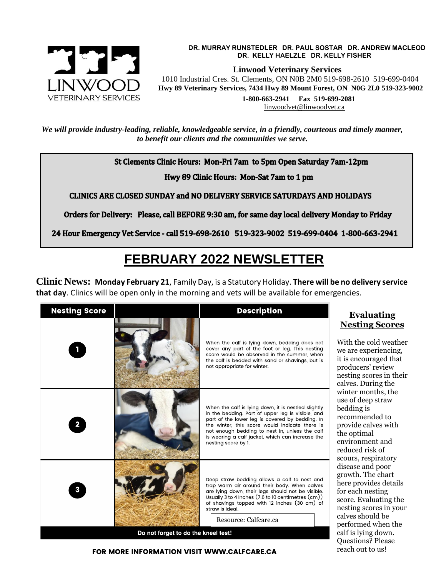

#### **DR. MURRAY RUNSTEDLER DR. PAUL SOSTAR DR. ANDREW MACLEOD DR. KELLY HAELZLE DR. KELLY FISHER**

 **Linwood Veterinary Services**

 1010 Industrial Cres. St. Clements, ON N0B 2M0 519-698-2610 519-699-0404  **Hwy 89 Veterinary Services, 7434 Hwy 89 Mount Forest, ON N0G 2L0 519-323-9002**

 **1-800-663-2941 Fax 519-699-2081** [linwoodvet@linwoodvet.ca](mailto:linwoodvet@linwoodvet.ca) 

reach out to us!

*We will provide industry-leading, reliable, knowledgeable service, in a friendly, courteous and timely manner, to benefit our clients and the communities we serve.*

St Clements Clinic Hours: Mon-Fri 7am to 5pm Open Saturday 7am-12pm

Hwy 89 Clinic Hours: Mon-Sat 7am to 1 pm

**CLINICS ARE CLOSED SUNDAY and NO DELIVERY SERVICE SATURDAYS AND HOLIDAYS** 

Orders for Delivery: Please, call BEFORE 9:30 am, for same day local delivery Monday to Friday

24 Hour Emergency Vet Service - call 519-698-2610 519-323-9002 519-699-0404 1-800-663-2941

# **FEBRUARY 2022 NEWSLETTER**

**Clinic News: Monday February 21**, Family Day, is a Statutory Holiday. **There will be no delivery service that day**. Clinics will be open only in the morning and vets will be available for emergencies.

| <b>Nesting Score</b>                |  | <b>Description</b>                                                                                                                                                                                                                                                                                                                         | <b>Evaluating</b>                                                                                                                                                                                                                                                                                                                                                                                                                                                                                                                      |
|-------------------------------------|--|--------------------------------------------------------------------------------------------------------------------------------------------------------------------------------------------------------------------------------------------------------------------------------------------------------------------------------------------|----------------------------------------------------------------------------------------------------------------------------------------------------------------------------------------------------------------------------------------------------------------------------------------------------------------------------------------------------------------------------------------------------------------------------------------------------------------------------------------------------------------------------------------|
|                                     |  | When the calf is lying down, bedding does not<br>cover any part of the foot or leg. This nesting<br>score would be observed in the summer, when<br>the calf is bedded with sand or shavings, but is<br>not appropriate for winter.                                                                                                         | <b>Nesting Scores</b><br>With the cold weather<br>we are experiencing,<br>it is encouraged that<br>producers' review<br>nesting scores in their<br>calves. During the<br>winter months, the<br>use of deep straw<br>bedding is<br>recommended to<br>provide calves with<br>the optimal<br>environment and<br>reduced risk of<br>scours, respiratory<br>disease and poor<br>growth. The chart<br>here provides details<br>for each nesting<br>score. Evaluating the<br>nesting scores in your<br>calves should be<br>performed when the |
| $\mathbf{2}$                        |  | When the calf is lying down, it is nestled slightly<br>in the bedding. Part of upper leg is visible, and<br>part of the lower leg is covered by bedding. In<br>the winter, this score would indicate there is<br>not enough bedding to nest in, unless the calf<br>is wearing a calf jacket, which can increase the<br>nesting score by 1. |                                                                                                                                                                                                                                                                                                                                                                                                                                                                                                                                        |
| 3                                   |  | Deep straw bedding allows a calf to nest and<br>trap warm air around their body. When calves<br>are lying down, their legs should not be visible.<br>Usually $3$ to 4 inches $(7.6$ to 10 centimetres $(cm))$<br>of shavings topped with 12 inches (30 cm) of<br>straw is ideal.<br>Resource: Calfcare.ca                                  |                                                                                                                                                                                                                                                                                                                                                                                                                                                                                                                                        |
| Do not forget to do the kneel test! |  |                                                                                                                                                                                                                                                                                                                                            | calf is lying down.<br><b>Questions? Please</b>                                                                                                                                                                                                                                                                                                                                                                                                                                                                                        |

#### **FOR MORE INFORMATION VISIT WWW.CALFCARE.CA**